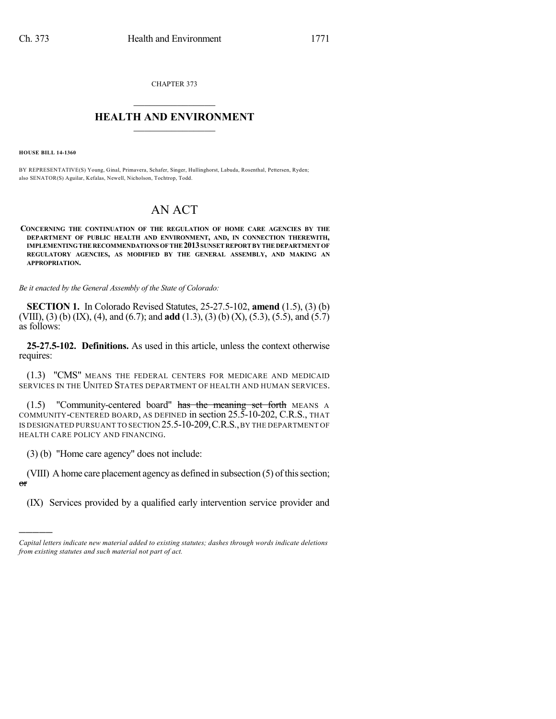CHAPTER 373  $\mathcal{L}_\text{max}$  . The set of the set of the set of the set of the set of the set of the set of the set of the set of the set of the set of the set of the set of the set of the set of the set of the set of the set of the set

## **HEALTH AND ENVIRONMENT**  $\_$

**HOUSE BILL 14-1360**

)))))

BY REPRESENTATIVE(S) Young, Ginal, Primavera, Schafer, Singer, Hullinghorst, Labuda, Rosenthal, Pettersen, Ryden; also SENATOR(S) Aguilar, Kefalas, Newell, Nicholson, Tochtrop, Todd.

## AN ACT

**CONCERNING THE CONTINUATION OF THE REGULATION OF HOME CARE AGENCIES BY THE DEPARTMENT OF PUBLIC HEALTH AND ENVIRONMENT, AND, IN CONNECTION THEREWITH, IMPLEMENTINGTHERECOMMENDATIONS OFTHE2013SUNSETREPORTBYTHEDEPARTMENTOF REGULATORY AGENCIES, AS MODIFIED BY THE GENERAL ASSEMBLY, AND MAKING AN APPROPRIATION.**

*Be it enacted by the General Assembly of the State of Colorado:*

**SECTION 1.** In Colorado Revised Statutes, 25-27.5-102, **amend** (1.5), (3) (b) (VIII), (3) (b) (IX), (4), and (6.7); and **add** (1.3), (3) (b) (X), (5.3), (5.5), and (5.7) as follows:

**25-27.5-102. Definitions.** As used in this article, unless the context otherwise requires:

(1.3) "CMS" MEANS THE FEDERAL CENTERS FOR MEDICARE AND MEDICAID SERVICES IN THE UNITED STATES DEPARTMENT OF HEALTH AND HUMAN SERVICES.

(1.5) "Community-centered board" has the meaning set forth MEANS A COMMUNITY-CENTERED BOARD, AS DEFINED in section 25.5-10-202, C.R.S., THAT IS DESIGNATED PURSUANT TO SECTION 25.5-10-209,C.R.S.,BY THE DEPARTMENT OF HEALTH CARE POLICY AND FINANCING.

(3) (b) "Home care agency" does not include:

(VIII) A home care placement agency as defined in subsection (5) of this section; or

(IX) Services provided by a qualified early intervention service provider and

*Capital letters indicate new material added to existing statutes; dashes through words indicate deletions from existing statutes and such material not part of act.*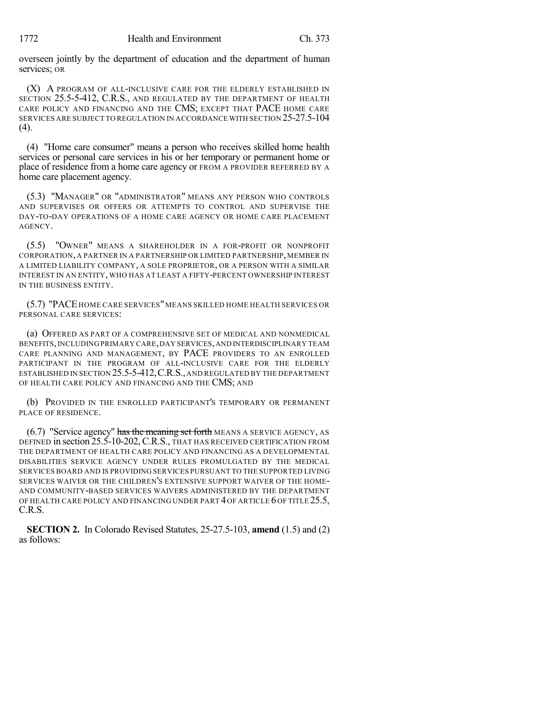overseen jointly by the department of education and the department of human services; OR

(X) A PROGRAM OF ALL-INCLUSIVE CARE FOR THE ELDERLY ESTABLISHED IN SECTION 25.5-5-412, C.R.S., AND REGULATED BY THE DEPARTMENT OF HEALTH CARE POLICY AND FINANCING AND THE CMS; EXCEPT THAT PACE HOME CARE SERVICES ARE SUBJECT TO REGULATION IN ACCORDANCE WITH SECTION 25-27.5-104 (4).

(4) "Home care consumer" means a person who receives skilled home health services or personal care services in his or her temporary or permanent home or place of residence from a home care agency or FROM A PROVIDER REFERRED BY A home care placement agency.

(5.3) "MANAGER" OR "ADMINISTRATOR" MEANS ANY PERSON WHO CONTROLS AND SUPERVISES OR OFFERS OR ATTEMPTS TO CONTROL AND SUPERVISE THE DAY-TO-DAY OPERATIONS OF A HOME CARE AGENCY OR HOME CARE PLACEMENT AGENCY.

(5.5) "OWNER" MEANS A SHAREHOLDER IN A FOR-PROFIT OR NONPROFIT CORPORATION, A PARTNER IN A PARTNERSHIP OR LIMITED PARTNERSHIP, MEMBER IN A LIMITED LIABILITY COMPANY, A SOLE PROPRIETOR, OR A PERSON WITH A SIMILAR INTEREST IN AN ENTITY, WHO HAS AT LEAST A FIFTY-PERCENT OWNERSHIP INTEREST IN THE BUSINESS ENTITY.

(5.7) "PACE HOME CARE SERVICES"MEANS SKILLED HOME HEALTH SERVICES OR PERSONAL CARE SERVICES:

(a) OFFERED AS PART OF A COMPREHENSIVE SET OF MEDICAL AND NONMEDICAL BENEFITS,INCLUDING PRIMARY CARE,DAY SERVICES,AND INTERDISCIPLINARY TEAM CARE PLANNING AND MANAGEMENT, BY PACE PROVIDERS TO AN ENROLLED PARTICIPANT IN THE PROGRAM OF ALL-INCLUSIVE CARE FOR THE ELDERLY ESTABLISHED IN SECTION 25.5-5-412,C.R.S.,AND REGULATED BY THE DEPARTMENT OF HEALTH CARE POLICY AND FINANCING AND THE CMS; AND

(b) PROVIDED IN THE ENROLLED PARTICIPANT'S TEMPORARY OR PERMANENT PLACE OF RESIDENCE.

 $(6.7)$  "Service agency" has the meaning set forth MEANS A SERVICE AGENCY, AS DEFINED in section 25.5-10-202, C.R.S., THAT HAS RECEIVED CERTIFICATION FROM THE DEPARTMENT OF HEALTH CARE POLICY AND FINANCING AS A DEVELOPMENTAL DISABILITIES SERVICE AGENCY UNDER RULES PROMULGATED BY THE MEDICAL SERVICES BOARD AND IS PROVIDING SERVICES PURSUANT TO THE SUPPORTED LIVING SERVICES WAIVER OR THE CHILDREN'S EXTENSIVE SUPPORT WAIVER OF THE HOME-AND COMMUNITY-BASED SERVICES WAIVERS ADMINISTERED BY THE DEPARTMENT OF HEALTH CARE POLICY AND FINANCING UNDER PART 4 OF ARTICLE 6 OF TITLE 25.5, C.R.S.

**SECTION 2.** In Colorado Revised Statutes, 25-27.5-103, **amend** (1.5) and (2) as follows: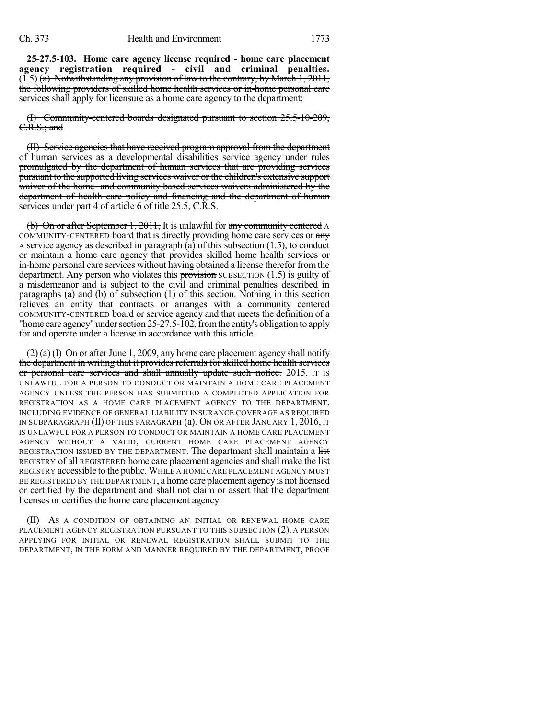**25-27.5-103. Home care agency license required - home care placement agency registration required - civil and criminal penalties.**  $(1.5)$  (a) Notwithstanding any provision of law to the contrary, by March 1, 2011, the following providers of skilled home health services or in-home personal care services shall apply for licensure as a home care agency to the department:

(I) Community-centered boards designated pursuant to section 25.5-10-209, C.R.S.; and

(II) Service agencies that have received program approval from the department of human services as a developmental disabilities service agency under rules promulgated by the department of human services that are providing services pursuant to the supported living services waiver or the children's extensive support waiver of the home- and community-based services waivers administered by the department of health care policy and financing and the department of human services under part 4 of article 6 of title 25.5, C.R.S.

(b) On or after September 1, 2011, It is unlawful for any community centered A COMMUNITY-CENTERED board that is directly providing home care services or any A service agency as described in paragraph  $(a)$  of this subsection  $(1.5)$ , to conduct or maintain a home care agency that provides skilled home health services or in-home personal care services without having obtained a license therefor from the department. Any person who violates this provision SUBSECTION  $(1.5)$  is guilty of a misdemeanor and is subject to the civil and criminal penalties described in paragraphs (a) and (b) of subsection (1) of this section. Nothing in this section relieves an entity that contracts or arranges with a community centered COMMUNITY-CENTERED board or service agency and that meets the definition of a "home care agency" under section  $25-27.5-102$ , from the entity's obligation to apply for and operate under a license in accordance with this article.

 $(2)$  (a) (I) On or after June 1, 2009, any home care placement agency shall notify the department in writing that it provides referrals for skilled home health services or personal care services and shall annually update such notice. 2015, IT IS UNLAWFUL FOR A PERSON TO CONDUCT OR MAINTAIN A HOME CARE PLACEMENT AGENCY UNLESS THE PERSON HAS SUBMITTED A COMPLETED APPLICATION FOR REGISTRATION AS A HOME CARE PLACEMENT AGENCY TO THE DEPARTMENT, INCLUDING EVIDENCE OF GENERAL LIABILITY INSURANCE COVERAGE AS REQUIRED IN SUBPARAGRAPH (II) OF THIS PARAGRAPH (a). ON OR AFTER JANUARY 1, 2016, IT IS UNLAWFUL FOR A PERSON TO CONDUCT OR MAINTAIN A HOME CARE PLACEMENT AGENCY WITHOUT A VALID, CURRENT HOME CARE PLACEMENT AGENCY REGISTRATION ISSUED BY THE DEPARTMENT. The department shall maintain a list REGISTRY Of all REGISTERED home care placement agencies and shall make the list REGISTRY accessible to the public. WHILE A HOME CARE PLACEMENT AGENCY MUST BE REGISTERED BY THE DEPARTMENT, a home care placement agency is not licensed or certified by the department and shall not claim or assert that the department licenses or certifies the home care placement agency.

(II) AS A CONDITION OF OBTAINING AN INITIAL OR RENEWAL HOME CARE PLACEMENT AGENCY REGISTRATION PURSUANT TO THIS SUBSECTION (2), A PERSON APPLYING FOR INITIAL OR RENEWAL REGISTRATION SHALL SUBMIT TO THE DEPARTMENT, IN THE FORM AND MANNER REQUIRED BY THE DEPARTMENT, PROOF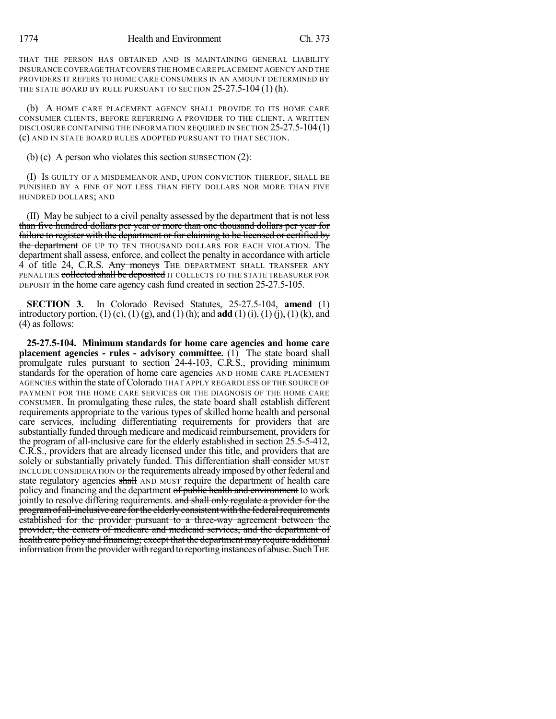THAT THE PERSON HAS OBTAINED AND IS MAINTAINING GENERAL LIABILITY INSURANCE COVERAGE THAT COVERS THE HOME CARE PLACEMENT AGENCY AND THE PROVIDERS IT REFERS TO HOME CARE CONSUMERS IN AN AMOUNT DETERMINED BY THE STATE BOARD BY RULE PURSUANT TO SECTION 25-27.5-104 (1) (h).

(b) A HOME CARE PLACEMENT AGENCY SHALL PROVIDE TO ITS HOME CARE CONSUMER CLIENTS, BEFORE REFERRING A PROVIDER TO THE CLIENT, A WRITTEN DISCLOSURE CONTAINING THE INFORMATION REQUIRED IN SECTION 25-27.5-104(1) (c) AND IN STATE BOARD RULES ADOPTED PURSUANT TO THAT SECTION.

 $\left(\frac{b}{c}\right)$  (c) A person who violates this section SUBSECTION (2):

(I) IS GUILTY OF A MISDEMEANOR AND, UPON CONVICTION THEREOF, SHALL BE PUNISHED BY A FINE OF NOT LESS THAN FIFTY DOLLARS NOR MORE THAN FIVE HUNDRED DOLLARS; AND

(II) May be subject to a civil penalty assessed by the department that is not less than five hundred dollars per year or more than one thousand dollars per year for failure to register with the department or for claiming to be licensed or certified by the department OF UP TO TEN THOUSAND DOLLARS FOR EACH VIOLATION. The department shall assess, enforce, and collect the penalty in accordance with article 4 of title 24, C.R.S. Any moneys THE DEPARTMENT SHALL TRANSFER ANY PENALTIES collected shall be deposited IT COLLECTS TO THE STATE TREASURER FOR DEPOSIT in the home care agency cash fund created in section 25-27.5-105.

**SECTION 3.** In Colorado Revised Statutes, 25-27.5-104, **amend** (1) introductory portion, (1) (c), (1) (g), and (1) (h); and **add** (1) (i), (1) (j), (1) (k), and (4) as follows:

**25-27.5-104. Minimum standards for home care agencies and home care placement agencies - rules - advisory committee.** (1) The state board shall promulgate rules pursuant to section 24-4-103, C.R.S., providing minimum standards for the operation of home care agencies AND HOME CARE PLACEMENT AGENCIES within the state of Colorado THAT APPLY REGARDLESS OF THE SOURCE OF PAYMENT FOR THE HOME CARE SERVICES OR THE DIAGNOSIS OF THE HOME CARE CONSUMER. In promulgating these rules, the state board shall establish different requirements appropriate to the various types of skilled home health and personal care services, including differentiating requirements for providers that are substantially funded through medicare and medicaid reimbursement, providers for the program of all-inclusive care for the elderly established in section 25.5-5-412, C.R.S., providers that are already licensed under this title, and providers that are solely or substantially privately funded. This differentiation shall consider MUST INCLUDE CONSIDERATION OF the requirements already imposed by other federal and state regulatory agencies shall AND MUST require the department of health care policy and financing and the department of public health and environment to work jointly to resolve differing requirements. and shall only regulate a provider for the program of all-inclusive care for the elderly consistent with the federal requirements established for the provider pursuant to a three-way agreement between the provider, the centers of medicare and medicaid services, and the department of health care policy and financing; except that the department may require additional information from the provider with regard to reporting instances of abuse. Such THE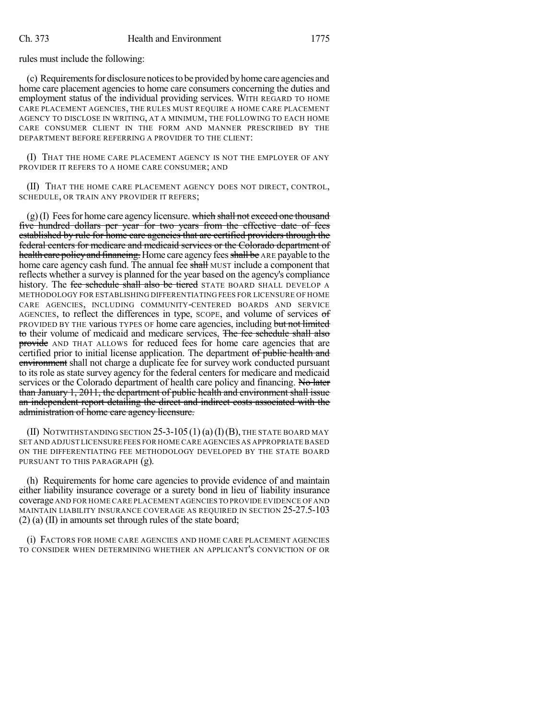rules must include the following:

(c) Requirementsfordisclosurenoticesto be provided byhome care agencies and home care placement agencies to home care consumers concerning the duties and employment status of the individual providing services. WITH REGARD TO HOME CARE PLACEMENT AGENCIES, THE RULES MUST REQUIRE A HOME CARE PLACEMENT AGENCY TO DISCLOSE IN WRITING, AT A MINIMUM, THE FOLLOWING TO EACH HOME CARE CONSUMER CLIENT IN THE FORM AND MANNER PRESCRIBED BY THE DEPARTMENT BEFORE REFERRING A PROVIDER TO THE CLIENT:

(I) THAT THE HOME CARE PLACEMENT AGENCY IS NOT THE EMPLOYER OF ANY PROVIDER IT REFERS TO A HOME CARE CONSUMER; AND

(II) THAT THE HOME CARE PLACEMENT AGENCY DOES NOT DIRECT, CONTROL, SCHEDULE, OR TRAIN ANY PROVIDER IT REFERS;

 $(g)$ (I) Fees for home care agency licensure. which shall not exceed one thousand five hundred dollars per year for two years from the effective date of fees established by rule for home care agencies that are certified providers through the federal centers for medicare and medicaid services or the Colorado department of health care policy and financing. Home care agency fees shall be ARE payable to the home care agency cash fund. The annual fee shall MUST include a component that reflects whether a survey is planned for the year based on the agency's compliance history. The fee schedule shall also be tiered STATE BOARD SHALL DEVELOP A METHODOLOGY FOR ESTABLISHING DIFFERENTIATING FEES FOR LICENSURE OF HOME CARE AGENCIES, INCLUDING COMMUNITY-CENTERED BOARDS AND SERVICE AGENCIES, to reflect the differences in type, SCOPE, and volume of services of PROVIDED BY THE various TYPES OF home care agencies, including but not limited to their volume of medicaid and medicare services, The fee schedule shall also provide AND THAT ALLOWS for reduced fees for home care agencies that are certified prior to initial license application. The department of public health and environment shall not charge a duplicate fee for survey work conducted pursuant to its role as state survey agency for the federal centers for medicare and medicaid services or the Colorado department of health care policy and financing. No later than January 1, 2011, the department of public health and environment shall issue an independent report detailing the direct and indirect costs associated with the administration of home care agency licensure.

(II) NOTWITHSTANDING SECTION 25-3-105 (1) (a) (I) (B), THE STATE BOARD MAY SET AND ADJUST LICENSURE FEES FOR HOME CARE AGENCIES AS APPROPRIATE BASED ON THE DIFFERENTIATING FEE METHODOLOGY DEVELOPED BY THE STATE BOARD PURSUANT TO THIS PARAGRAPH (g).

(h) Requirements for home care agencies to provide evidence of and maintain either liability insurance coverage or a surety bond in lieu of liability insurance coverage AND FOR HOME CARE PLACEMENT AGENCIES TO PROVIDE EVIDENCE OF AND MAINTAIN LIABILITY INSURANCE COVERAGE AS REQUIRED IN SECTION 25-27.5-103 (2) (a) (II) in amounts set through rules of the state board;

(i) FACTORS FOR HOME CARE AGENCIES AND HOME CARE PLACEMENT AGENCIES TO CONSIDER WHEN DETERMINING WHETHER AN APPLICANT'S CONVICTION OF OR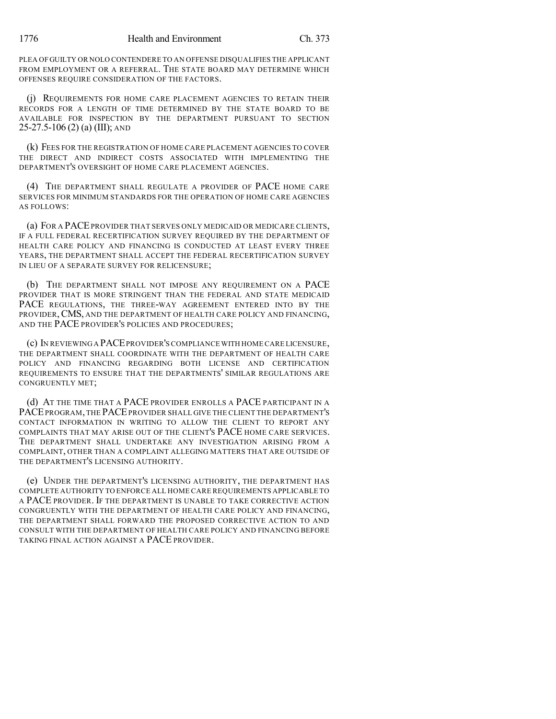PLEA OFGUILTY OR NOLO CONTENDERE TO AN OFFENSE DISQUALIFIES THE APPLICANT FROM EMPLOYMENT OR A REFERRAL. THE STATE BOARD MAY DETERMINE WHICH OFFENSES REQUIRE CONSIDERATION OF THE FACTORS.

(j) REQUIREMENTS FOR HOME CARE PLACEMENT AGENCIES TO RETAIN THEIR RECORDS FOR A LENGTH OF TIME DETERMINED BY THE STATE BOARD TO BE AVAILABLE FOR INSPECTION BY THE DEPARTMENT PURSUANT TO SECTION 25-27.5-106 (2) (a) (III); AND

(k) FEES FOR THE REGISTRATION OF HOME CARE PLACEMENT AGENCIES TO COVER THE DIRECT AND INDIRECT COSTS ASSOCIATED WITH IMPLEMENTING THE DEPARTMENT'S OVERSIGHT OF HOME CARE PLACEMENT AGENCIES.

(4) THE DEPARTMENT SHALL REGULATE A PROVIDER OF PACE HOME CARE SERVICES FOR MINIMUM STANDARDS FOR THE OPERATION OF HOME CARE AGENCIES AS FOLLOWS:

(a) FOR A PACEPROVIDER THAT SERVES ONLY MEDICAID OR MEDICARE CLIENTS, IF A FULL FEDERAL RECERTIFICATION SURVEY REQUIRED BY THE DEPARTMENT OF HEALTH CARE POLICY AND FINANCING IS CONDUCTED AT LEAST EVERY THREE YEARS, THE DEPARTMENT SHALL ACCEPT THE FEDERAL RECERTIFICATION SURVEY IN LIEU OF A SEPARATE SURVEY FOR RELICENSURE;

(b) THE DEPARTMENT SHALL NOT IMPOSE ANY REQUIREMENT ON A PACE PROVIDER THAT IS MORE STRINGENT THAN THE FEDERAL AND STATE MEDICAID PACE REGULATIONS, THE THREE-WAY AGREEMENT ENTERED INTO BY THE PROVIDER, CMS, AND THE DEPARTMENT OF HEALTH CARE POLICY AND FINANCING, AND THE PACE PROVIDER'S POLICIES AND PROCEDURES;

(c) IN REVIEWING A PACEPROVIDER'S COMPLIANCE WITH HOME CARE LICENSURE, THE DEPARTMENT SHALL COORDINATE WITH THE DEPARTMENT OF HEALTH CARE POLICY AND FINANCING REGARDING BOTH LICENSE AND CERTIFICATION REQUIREMENTS TO ENSURE THAT THE DEPARTMENTS' SIMILAR REGULATIONS ARE CONGRUENTLY MET;

(d) AT THE TIME THAT A PACE PROVIDER ENROLLS A PACE PARTICIPANT IN A PACEPROGRAM, THE PACEPROVIDER SHALL GIVE THE CLIENT THE DEPARTMENT'S CONTACT INFORMATION IN WRITING TO ALLOW THE CLIENT TO REPORT ANY COMPLAINTS THAT MAY ARISE OUT OF THE CLIENT'S PACE HOME CARE SERVICES. THE DEPARTMENT SHALL UNDERTAKE ANY INVESTIGATION ARISING FROM A COMPLAINT, OTHER THAN A COMPLAINT ALLEGING MATTERS THAT ARE OUTSIDE OF THE DEPARTMENT'S LICENSING AUTHORITY.

(e) UNDER THE DEPARTMENT'S LICENSING AUTHORITY, THE DEPARTMENT HAS COMPLETE AUTHORITY TO ENFORCE ALL HOME CARE REQUIREMENTS APPLICABLE TO A PACE PROVIDER. IF THE DEPARTMENT IS UNABLE TO TAKE CORRECTIVE ACTION CONGRUENTLY WITH THE DEPARTMENT OF HEALTH CARE POLICY AND FINANCING, THE DEPARTMENT SHALL FORWARD THE PROPOSED CORRECTIVE ACTION TO AND CONSULT WITH THE DEPARTMENT OF HEALTH CARE POLICY AND FINANCING BEFORE TAKING FINAL ACTION AGAINST A PACE PROVIDER.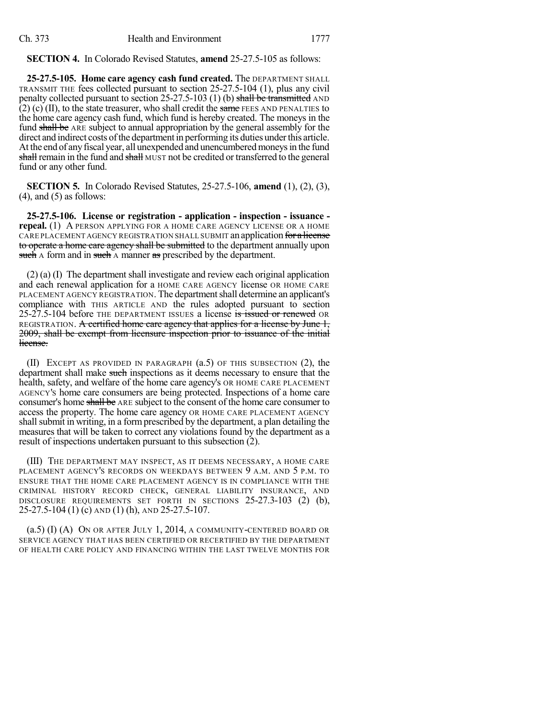**SECTION 4.** In Colorado Revised Statutes, **amend** 25-27.5-105 as follows:

**25-27.5-105. Home care agency cash fund created.** The DEPARTMENT SHALL TRANSMIT THE fees collected pursuant to section 25-27.5-104 (1), plus any civil penalty collected pursuant to section  $25-27.5-103$  (1) (b) shall be transmitted AND  $(2)$  (c) (II), to the state treasurer, who shall credit the same FEES AND PENALTIES to the home care agency cash fund, which fund is hereby created. The moneys in the fund shall be ARE subject to annual appropriation by the general assembly for the direct and indirect costs of the department in performing its duties under this article. At the end of any fiscal year, all unexpended and unencumbered moneys in the fund shall remain in the fund and shall MUST not be credited or transferred to the general fund or any other fund.

**SECTION 5.** In Colorado Revised Statutes, 25-27.5-106, **amend** (1), (2), (3),  $(4)$ , and  $(5)$  as follows:

**25-27.5-106. License or registration - application - inspection - issuance repeal.** (1) A PERSON APPLYING FOR A HOME CARE AGENCY LICENSE OR A HOME CARE PLACEMENT AGENCY REGISTRATION SHALL SUBMIT an application for a license to operate a home care agency shall be submitted to the department annually upon such A form and in such A manner as prescribed by the department.

(2) (a) (I) The department shall investigate and review each original application and each renewal application for a HOME CARE AGENCY license OR HOME CARE PLACEMENT AGENCY REGISTRATION. The department shall determine an applicant's compliance with THIS ARTICLE AND the rules adopted pursuant to section 25-27.5-104 before THE DEPARTMENT ISSUES a license is issued or renewed OR REGISTRATION. A certified home care agency that applies for a license by June 1, 2009, shall be exempt from licensure inspection prior to issuance of the initial license.

(II) EXCEPT AS PROVIDED IN PARAGRAPH (a.5) OF THIS SUBSECTION (2), the department shall make such inspections as it deems necessary to ensure that the health, safety, and welfare of the home care agency's OR HOME CARE PLACEMENT AGENCY'S home care consumers are being protected. Inspections of a home care consumer's home shall be ARE subject to the consent of the home care consumer to access the property. The home care agency OR HOME CARE PLACEMENT AGENCY shall submit in writing, in a form prescribed by the department, a plan detailing the measures that will be taken to correct any violations found by the department as a result of inspections undertaken pursuant to this subsection (2).

(III) THE DEPARTMENT MAY INSPECT, AS IT DEEMS NECESSARY, A HOME CARE PLACEMENT AGENCY'S RECORDS ON WEEKDAYS BETWEEN 9 A.M. AND 5 P.M. TO ENSURE THAT THE HOME CARE PLACEMENT AGENCY IS IN COMPLIANCE WITH THE CRIMINAL HISTORY RECORD CHECK, GENERAL LIABILITY INSURANCE, AND DISCLOSURE REQUIREMENTS SET FORTH IN SECTIONS 25-27.3-103 (2) (b), 25-27.5-104 (1) (c) AND (1) (h), AND 25-27.5-107.

(a.5) (I) (A) ON OR AFTER JULY 1, 2014, A COMMUNITY-CENTERED BOARD OR SERVICE AGENCY THAT HAS BEEN CERTIFIED OR RECERTIFIED BY THE DEPARTMENT OF HEALTH CARE POLICY AND FINANCING WITHIN THE LAST TWELVE MONTHS FOR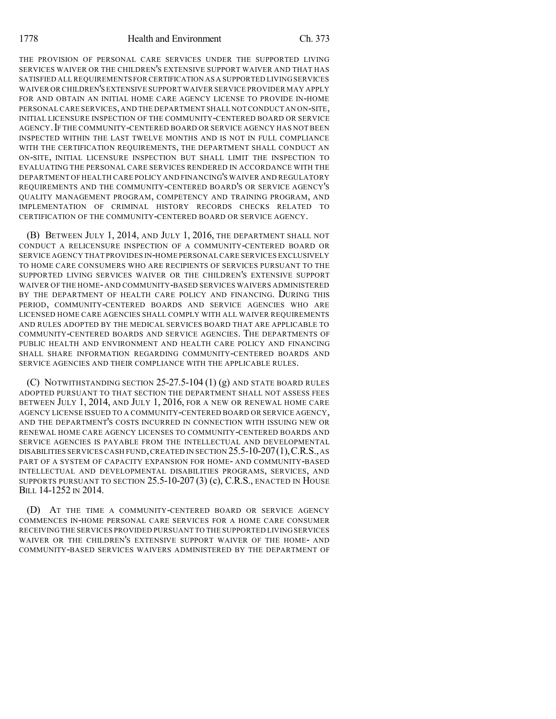THE PROVISION OF PERSONAL CARE SERVICES UNDER THE SUPPORTED LIVING SERVICES WAIVER OR THE CHILDREN'S EXTENSIVE SUPPORT WAIVER AND THAT HAS SATISFIED ALL REQUIREMENTS FOR CERTIFICATION AS A SUPPORTED LIVINGSERVICES WAIVER OR CHILDREN'S EXTENSIVE SUPPORT WAIVER SERVICE PROVIDER MAY APPLY FOR AND OBTAIN AN INITIAL HOME CARE AGENCY LICENSE TO PROVIDE IN-HOME PERSONAL CARE SERVICES,AND THE DEPARTMENT SHALL NOT CONDUCT AN ON-SITE, INITIAL LICENSURE INSPECTION OF THE COMMUNITY-CENTERED BOARD OR SERVICE AGENCY.IF THE COMMUNITY-CENTERED BOARD OR SERVICE AGENCY HAS NOT BEEN INSPECTED WITHIN THE LAST TWELVE MONTHS AND IS NOT IN FULL COMPLIANCE WITH THE CERTIFICATION REQUIREMENTS, THE DEPARTMENT SHALL CONDUCT AN ON-SITE, INITIAL LICENSURE INSPECTION BUT SHALL LIMIT THE INSPECTION TO EVALUATING THE PERSONAL CARE SERVICES RENDERED IN ACCORDANCE WITH THE DEPARTMENT OF HEALTH CARE POLICY AND FINANCING'S WAIVER AND REGULATORY REQUIREMENTS AND THE COMMUNITY-CENTERED BOARD'S OR SERVICE AGENCY'S QUALITY MANAGEMENT PROGRAM, COMPETENCY AND TRAINING PROGRAM, AND IMPLEMENTATION OF CRIMINAL HISTORY RECORDS CHECKS RELATED TO CERTIFICATION OF THE COMMUNITY-CENTERED BOARD OR SERVICE AGENCY.

(B) BETWEEN JULY 1, 2014, AND JULY 1, 2016, THE DEPARTMENT SHALL NOT CONDUCT A RELICENSURE INSPECTION OF A COMMUNITY-CENTERED BOARD OR SERVICE AGENCY THAT PROVIDES IN-HOME PERSONALCARE SERVICES EXCLUSIVELY TO HOME CARE CONSUMERS WHO ARE RECIPIENTS OF SERVICES PURSUANT TO THE SUPPORTED LIVING SERVICES WAIVER OR THE CHILDREN'S EXTENSIVE SUPPORT WAIVER OF THE HOME-AND COMMUNITY-BASED SERVICES WAIVERS ADMINISTERED BY THE DEPARTMENT OF HEALTH CARE POLICY AND FINANCING. DURING THIS PERIOD, COMMUNITY-CENTERED BOARDS AND SERVICE AGENCIES WHO ARE LICENSED HOME CARE AGENCIES SHALL COMPLY WITH ALL WAIVER REQUIREMENTS AND RULES ADOPTED BY THE MEDICAL SERVICES BOARD THAT ARE APPLICABLE TO COMMUNITY-CENTERED BOARDS AND SERVICE AGENCIES. THE DEPARTMENTS OF PUBLIC HEALTH AND ENVIRONMENT AND HEALTH CARE POLICY AND FINANCING SHALL SHARE INFORMATION REGARDING COMMUNITY-CENTERED BOARDS AND SERVICE AGENCIES AND THEIR COMPLIANCE WITH THE APPLICABLE RULES.

(C) NOTWITHSTANDING SECTION  $25-27.5-104(1)$  (g) and state board rules ADOPTED PURSUANT TO THAT SECTION THE DEPARTMENT SHALL NOT ASSESS FEES BETWEEN JULY 1, 2014, AND JULY 1, 2016, FOR A NEW OR RENEWAL HOME CARE AGENCY LICENSE ISSUED TO A COMMUNITY-CENTERED BOARD OR SERVICE AGENCY, AND THE DEPARTMENT'S COSTS INCURRED IN CONNECTION WITH ISSUING NEW OR RENEWAL HOME CARE AGENCY LICENSES TO COMMUNITY-CENTERED BOARDS AND SERVICE AGENCIES IS PAYABLE FROM THE INTELLECTUAL AND DEVELOPMENTAL DISABILITIES SERVICES CASH FUND,CREATED IN SECTION 25.5-10-207(1),C.R.S.,AS PART OF A SYSTEM OF CAPACITY EXPANSION FOR HOME- AND COMMUNITY-BASED INTELLECTUAL AND DEVELOPMENTAL DISABILITIES PROGRAMS, SERVICES, AND SUPPORTS PURSUANT TO SECTION  $25.5$ -10- $207(3)$  (c), C.R.S., ENACTED IN HOUSE BILL 14-1252 IN 2014.

(D) AT THE TIME A COMMUNITY-CENTERED BOARD OR SERVICE AGENCY COMMENCES IN-HOME PERSONAL CARE SERVICES FOR A HOME CARE CONSUMER RECEIVING THE SERVICES PROVIDED PURSUANT TO THE SUPPORTED LIVINGSERVICES WAIVER OR THE CHILDREN'S EXTENSIVE SUPPORT WAIVER OF THE HOME- AND COMMUNITY-BASED SERVICES WAIVERS ADMINISTERED BY THE DEPARTMENT OF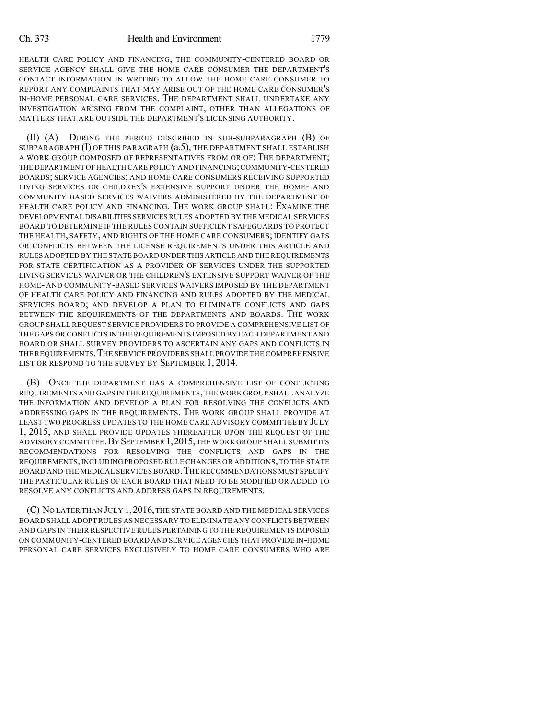HEALTH CARE POLICY AND FINANCING, THE COMMUNITY-CENTERED BOARD OR SERVICE AGENCY SHALL GIVE THE HOME CARE CONSUMER THE DEPARTMENT'S CONTACT INFORMATION IN WRITING TO ALLOW THE HOME CARE CONSUMER TO REPORT ANY COMPLAINTS THAT MAY ARISE OUT OF THE HOME CARE CONSUMER'S IN-HOME PERSONAL CARE SERVICES. THE DEPARTMENT SHALL UNDERTAKE ANY INVESTIGATION ARISING FROM THE COMPLAINT, OTHER THAN ALLEGATIONS OF MATTERS THAT ARE OUTSIDE THE DEPARTMENT'S LICENSING AUTHORITY.

(II) (A) DURING THE PERIOD DESCRIBED IN SUB-SUBPARAGRAPH (B) OF SUBPARAGRAPH  $(I)$  OF THIS PARAGRAPH  $(a.5)$ , the DEPARTMENT SHALL ESTABLISH A WORK GROUP COMPOSED OF REPRESENTATIVES FROM OR OF: THE DEPARTMENT; THE DEPARTMENT OFHEALTH CARE POLICY AND FINANCING;COMMUNITY-CENTERED BOARDS; SERVICE AGENCIES; AND HOME CARE CONSUMERS RECEIVING SUPPORTED LIVING SERVICES OR CHILDREN'S EXTENSIVE SUPPORT UNDER THE HOME- AND COMMUNITY-BASED SERVICES WAIVERS ADMINISTERED BY THE DEPARTMENT OF HEALTH CARE POLICY AND FINANCING. THE WORK GROUP SHALL: EXAMINE THE DEVELOPMENTAL DISABILITIES SERVICESRULES ADOPTED BY THE MEDICAL SERVICES BOARD TO DETERMINE IF THE RULES CONTAIN SUFFICIENT SAFEGUARDS TO PROTECT THE HEALTH, SAFETY, AND RIGHTS OF THE HOME CARE CONSUMERS; IDENTIFY GAPS OR CONFLICTS BETWEEN THE LICENSE REQUIREMENTS UNDER THIS ARTICLE AND RULES ADOPTED BY THE STATEBOARD UNDER THIS ARTICLE AND THE REQUIREMENTS FOR STATE CERTIFICATION AS A PROVIDER OF SERVICES UNDER THE SUPPORTED LIVING SERVICES WAIVER OR THE CHILDREN'S EXTENSIVE SUPPORT WAIVER OF THE HOME- AND COMMUNITY-BASED SERVICES WAIVERS IMPOSED BY THE DEPARTMENT OF HEALTH CARE POLICY AND FINANCING AND RULES ADOPTED BY THE MEDICAL SERVICES BOARD; AND DEVELOP A PLAN TO ELIMINATE CONFLICTS AND GAPS BETWEEN THE REQUIREMENTS OF THE DEPARTMENTS AND BOARDS. THE WORK GROUP SHALL REQUEST SERVICE PROVIDERS TO PROVIDE A COMPREHENSIVE LIST OF THE GAPS OR CONFLICTS IN THEREQUIREMENTS IMPOSED BY EACH DEPARTMENT AND BOARD OR SHALL SURVEY PROVIDERS TO ASCERTAIN ANY GAPS AND CONFLICTS IN THE REQUIREMENTS.THE SERVICE PROVIDERS SHALL PROVIDE THE COMPREHENSIVE LIST OR RESPOND TO THE SURVEY BY SEPTEMBER 1, 2014.

(B) ONCE THE DEPARTMENT HAS A COMPREHENSIVE LIST OF CONFLICTING REQUIREMENTS AND GAPS IN THE REQUIREMENTS,THE WORK GROUP SHALL ANALYZE THE INFORMATION AND DEVELOP A PLAN FOR RESOLVING THE CONFLICTS AND ADDRESSING GAPS IN THE REQUIREMENTS. THE WORK GROUP SHALL PROVIDE AT LEAST TWO PROGRESS UPDATES TO THE HOME CARE ADVISORY COMMITTEE BY JULY 1, 2015, AND SHALL PROVIDE UPDATES THEREAFTER UPON THE REQUEST OF THE ADVISORY COMMITTEE. BY SEPTEMBER 1, 2015, THE WORK GROUP SHALL SUBMIT ITS RECOMMENDATIONS FOR RESOLVING THE CONFLICTS AND GAPS IN THE REQUIREMENTS,INCLUDINGPROPOSED RULE CHANGES OR ADDITIONS,TO THE STATE BOARD AND THE MEDICAL SERVICES BOARD.THE RECOMMENDATIONS MUST SPECIFY THE PARTICULAR RULES OF EACH BOARD THAT NEED TO BE MODIFIED OR ADDED TO RESOLVE ANY CONFLICTS AND ADDRESS GAPS IN REQUIREMENTS.

(C) NO LATER THAN JULY 1,2016,THE STATE BOARD AND THE MEDICAL SERVICES BOARD SHALL ADOPTRULES AS NECESSARY TO ELIMINATE ANY CONFLICTS BETWEEN AND GAPS IN THEIR RESPECTIVE RULES PERTAINING TO THE REQUIREMENTS IMPOSED ON COMMUNITY-CENTERED BOARD AND SERVICE AGENCIES THAT PROVIDE IN-HOME PERSONAL CARE SERVICES EXCLUSIVELY TO HOME CARE CONSUMERS WHO ARE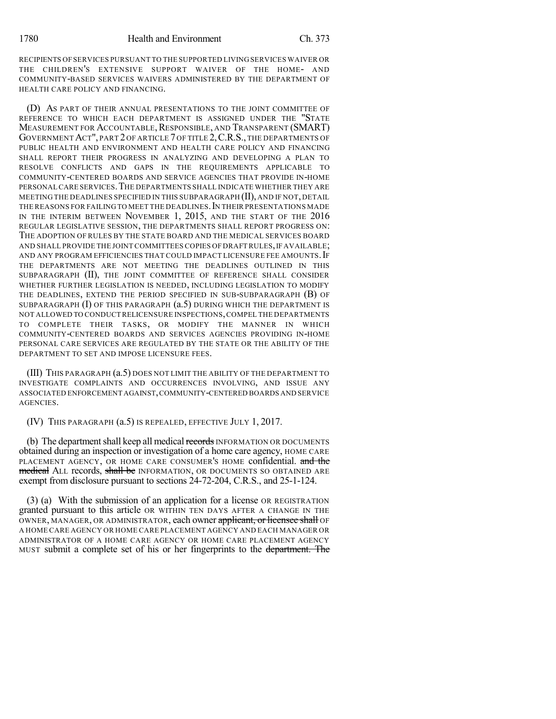RECIPIENTS OF SERVICES PURSUANT TO THE SUPPORTED LIVING SERVICES WAIVER OR THE CHILDREN'S EXTENSIVE SUPPORT WAIVER OF THE HOME- AND COMMUNITY-BASED SERVICES WAIVERS ADMINISTERED BY THE DEPARTMENT OF HEALTH CARE POLICY AND FINANCING.

(D) AS PART OF THEIR ANNUAL PRESENTATIONS TO THE JOINT COMMITTEE OF REFERENCE TO WHICH EACH DEPARTMENT IS ASSIGNED UNDER THE "STATE MEASUREMENT FOR ACCOUNTABLE, RESPONSIBLE, AND TRANSPARENT (SMART) GOVERNMENTACT", PART 2 OF ARTICLE 7 OF TITLE 2,C.R.S., THE DEPARTMENTS OF PUBLIC HEALTH AND ENVIRONMENT AND HEALTH CARE POLICY AND FINANCING SHALL REPORT THEIR PROGRESS IN ANALYZING AND DEVELOPING A PLAN TO RESOLVE CONFLICTS AND GAPS IN THE REQUIREMENTS APPLICABLE TO COMMUNITY-CENTERED BOARDS AND SERVICE AGENCIES THAT PROVIDE IN-HOME PERSONAL CARE SERVICES.THE DEPARTMENTS SHALL INDICATE WHETHER THEY ARE MEETING THE DEADLINES SPECIFIED IN THIS SUBPARAGRAPH (II), AND IF NOT, DETAIL THE REASONS FOR FAILING TO MEET THE DEADLINES. IN THEIR PRESENTATIONS MADE IN THE INTERIM BETWEEN NOVEMBER 1, 2015, AND THE START OF THE 2016 REGULAR LEGISLATIVE SESSION, THE DEPARTMENTS SHALL REPORT PROGRESS ON: THE ADOPTION OF RULES BY THE STATE BOARD AND THE MEDICAL SERVICES BOARD AND SHALL PROVIDE THE JOINT COMMITTEES COPIES OF DRAFT RULES, IF AVAILABLE; AND ANY PROGRAM EFFICIENCIES THAT COULD IMPACT LICENSURE FEE AMOUNTS. IF THE DEPARTMENTS ARE NOT MEETING THE DEADLINES OUTLINED IN THIS SUBPARAGRAPH (II), THE JOINT COMMITTEE OF REFERENCE SHALL CONSIDER WHETHER FURTHER LEGISLATION IS NEEDED, INCLUDING LEGISLATION TO MODIFY THE DEADLINES, EXTEND THE PERIOD SPECIFIED IN SUB-SUBPARAGRAPH (B) OF SUBPARAGRAPH  $(I)$  OF THIS PARAGRAPH  $(a.5)$  during which the department is NOT ALLOWED TO CONDUCT RELICENSURE INSPECTIONS,COMPEL THE DEPARTMENTS TO COMPLETE THEIR TASKS, OR MODIFY THE MANNER IN WHICH COMMUNITY-CENTERED BOARDS AND SERVICES AGENCIES PROVIDING IN-HOME PERSONAL CARE SERVICES ARE REGULATED BY THE STATE OR THE ABILITY OF THE DEPARTMENT TO SET AND IMPOSE LICENSURE FEES.

(III) THIS PARAGRAPH (a.5) DOES NOT LIMIT THE ABILITY OF THE DEPARTMENT TO INVESTIGATE COMPLAINTS AND OCCURRENCES INVOLVING, AND ISSUE ANY ASSOCIATED ENFORCEMENT AGAINST,COMMUNITY-CENTERED BOARDS AND SERVICE AGENCIES.

(IV) THIS PARAGRAPH (a.5) IS REPEALED, EFFECTIVE JULY 1, 2017.

(b) The department shall keep all medical records INFORMATION OR DOCUMENTS obtained during an inspection or investigation of a home care agency, HOME CARE PLACEMENT AGENCY, OR HOME CARE CONSUMER'S HOME confidential. and the medical ALL records, shall be INFORMATION, OR DOCUMENTS SO OBTAINED ARE exempt from disclosure pursuant to sections 24-72-204, C.R.S., and 25-1-124.

(3) (a) With the submission of an application for a license OR REGISTRATION granted pursuant to this article OR WITHIN TEN DAYS AFTER A CHANGE IN THE OWNER, MANAGER, OR ADMINISTRATOR, each owner applicant, or licensee shall OF A HOME CARE AGENCY OR HOME CARE PLACEMENT AGENCY AND EACH MANAGER OR ADMINISTRATOR OF A HOME CARE AGENCY OR HOME CARE PLACEMENT AGENCY MUST submit a complete set of his or her fingerprints to the department. The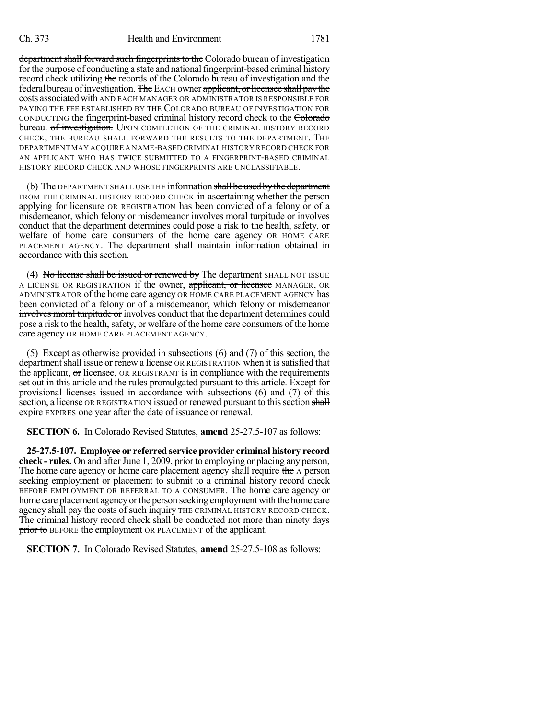department shall forward such fingerprints to the Colorado bureau of investigation for the purpose of conducting a state and national fingerprint-based criminal history record check utilizing the records of the Colorado bureau of investigation and the federal bureau of investigation. The EACH owner applicant, or licensee shall pay the costs associated with AND EACH MANAGER OR ADMINISTRATOR IS RESPONSIBLE FOR PAYING THE FEE ESTABLISHED BY THE COLORADO BUREAU OF INVESTIGATION FOR CONDUCTING the fingerprint-based criminal history record check to the Colorado bureau. of *investigation*. UPON COMPLETION OF THE CRIMINAL HISTORY RECORD CHECK, THE BUREAU SHALL FORWARD THE RESULTS TO THE DEPARTMENT. THE DEPARTMENT MAY ACQUIRE A NAME-BASED CRIMINAL HISTORY RECORD CHECK FOR AN APPLICANT WHO HAS TWICE SUBMITTED TO A FINGERPRINT-BASED CRIMINAL HISTORY RECORD CHECK AND WHOSE FINGERPRINTS ARE UNCLASSIFIABLE.

(b) The DEPARTMENT SHALL USE THE information shall be used by the department FROM THE CRIMINAL HISTORY RECORD CHECK in ascertaining whether the person applying for licensure OR REGISTRATION has been convicted of a felony or of a misdemeanor, which felony or misdemeanor involves moral turpitude or involves conduct that the department determines could pose a risk to the health, safety, or welfare of home care consumers of the home care agency OR HOME CARE PLACEMENT AGENCY. The department shall maintain information obtained in accordance with this section.

(4) No license shall be issued or renewed by The department SHALL NOT ISSUE A LICENSE OR REGISTRATION if the owner, applicant, or licensee MANAGER, OR ADMINISTRATOR of the home care agency OR HOME CARE PLACEMENT AGENCY has been convicted of a felony or of a misdemeanor, which felony or misdemeanor involves moral turpitude or involves conduct that the department determines could pose a risk to the health, safety, or welfare of the home care consumers of the home care agency OR HOME CARE PLACEMENT AGENCY.

(5) Except as otherwise provided in subsections (6) and (7) of this section, the department shall issue or renew a license OR REGISTRATION when it is satisfied that the applicant,  $\sigma$  licensee, OR REGISTRANT is in compliance with the requirements set out in this article and the rules promulgated pursuant to this article. Except for provisional licenses issued in accordance with subsections (6) and (7) of this section, a license OR REGISTRATION issued or renewed pursuant to this section shall **expire** EXPIRES one year after the date of issuance or renewal.

**SECTION 6.** In Colorado Revised Statutes, **amend** 25-27.5-107 as follows:

**25-27.5-107. Employee or referred service provider criminal history record** check - rules. On and after June 1, 2009, prior to employing or placing any person, The home care agency or home care placement agency shall require the A person seeking employment or placement to submit to a criminal history record check BEFORE EMPLOYMENT OR REFERRAL TO A CONSUMER. The home care agency or home care placement agency or the person seeking employment with the home care agency shall pay the costs of such inquiry THE CRIMINAL HISTORY RECORD CHECK. The criminal history record check shall be conducted not more than ninety days prior to BEFORE the employment OR PLACEMENT of the applicant.

**SECTION 7.** In Colorado Revised Statutes, **amend** 25-27.5-108 as follows: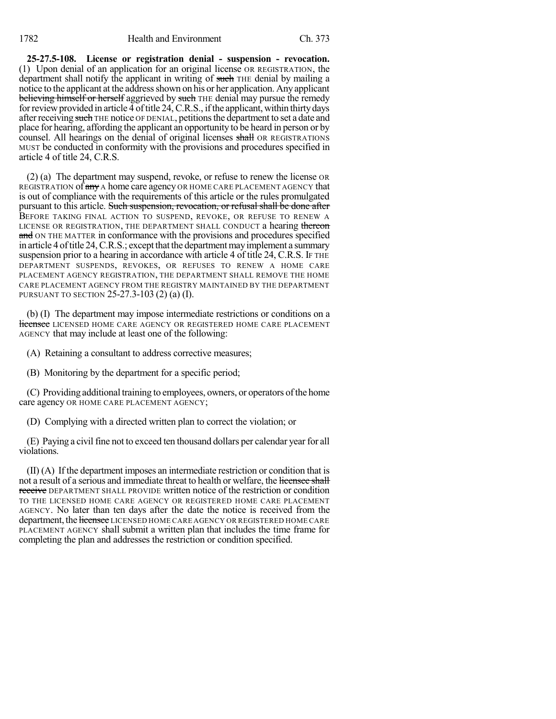**25-27.5-108. License or registration denial - suspension - revocation.** (1) Upon denial of an application for an original license OR REGISTRATION, the department shall notify the applicant in writing of such THE denial by mailing a notice to the applicant at the address shown on his or her application. Any applicant believing himself or herself aggrieved by such THE denial may pursue the remedy for review provided in article 4 of title 24, C.R.S., if the applicant, within thirty days after receiving such THE notice OF DENIAL, petitions the department to set a date and place for hearing, affording the applicant an opportunity to be heard in person or by counsel. All hearings on the denial of original licenses shall OR REGISTRATIONS MUST be conducted in conformity with the provisions and procedures specified in article 4 of title 24, C.R.S.

(2) (a) The department may suspend, revoke, or refuse to renew the license OR REGISTRATION of any A home care agency OR HOME CARE PLACEMENT AGENCY that is out of compliance with the requirements of this article or the rules promulgated pursuant to this article. Such suspension, revocation, or refusal shall be done after BEFORE TAKING FINAL ACTION TO SUSPEND, REVOKE, OR REFUSE TO RENEW A LICENSE OR REGISTRATION, THE DEPARTMENT SHALL CONDUCT a hearing thereon and ON THE MATTER in conformance with the provisions and procedures specified in article 4 of title 24, C.R.S.; except that the department may implement a summary suspension prior to a hearing in accordance with article 4 of title 24, C.R.S. IF THE DEPARTMENT SUSPENDS, REVOKES, OR REFUSES TO RENEW A HOME CARE PLACEMENT AGENCY REGISTRATION, THE DEPARTMENT SHALL REMOVE THE HOME CARE PLACEMENT AGENCY FROM THE REGISTRY MAINTAINED BY THE DEPARTMENT PURSUANT TO SECTION 25-27.3-103 (2) (a) (I).

(b) (I) The department may impose intermediate restrictions or conditions on a Heensee LICENSED HOME CARE AGENCY OR REGISTERED HOME CARE PLACEMENT AGENCY that may include at least one of the following:

(A) Retaining a consultant to address corrective measures;

(B) Monitoring by the department for a specific period;

(C) Providing additional training to employees, owners, or operators ofthe home care agency OR HOME CARE PLACEMENT AGENCY;

(D) Complying with a directed written plan to correct the violation; or

(E) Paying a civil fine not to exceed ten thousand dollars per calendar year for all violations.

(II) (A) If the department imposes an intermediate restriction or condition that is not a result of a serious and immediate threat to health or welfare, the licensee shall receive DEPARTMENT SHALL PROVIDE written notice of the restriction or condition TO THE LICENSED HOME CARE AGENCY OR REGISTERED HOME CARE PLACEMENT AGENCY. No later than ten days after the date the notice is received from the department, the licensee LICENSED HOME CARE AGENCY OR REGISTERED HOME CARE PLACEMENT AGENCY shall submit a written plan that includes the time frame for completing the plan and addresses the restriction or condition specified.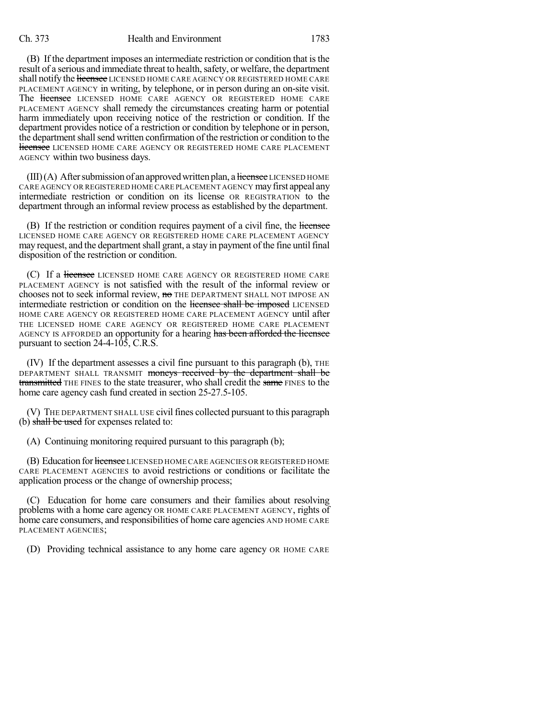## Ch. 373 Health and Environment 1783

(B) If the department imposes an intermediate restriction or condition that is the result of a serious and immediate threat to health, safety, or welfare, the department shall notify the **licensee** LICENSED HOME CARE AGENCY OR REGISTERED HOME CARE PLACEMENT AGENCY in writing, by telephone, or in person during an on-site visit. The licensee LICENSED HOME CARE AGENCY OR REGISTERED HOME CARE PLACEMENT AGENCY shall remedy the circumstances creating harm or potential harm immediately upon receiving notice of the restriction or condition. If the department provides notice of a restriction or condition by telephone or in person, the department shall send written confirmation of the restriction or condition to the **licensee** LICENSED HOME CARE AGENCY OR REGISTERED HOME CARE PLACEMENT AGENCY within two business days.

 $(III)(A)$  After submission of an approved written plan, a licensee LICENSED HOME CARE AGENCY OR REGISTERED HOME CARE PLACEMENT AGENCY mayfirst appeal any intermediate restriction or condition on its license OR REGISTRATION to the department through an informal review process as established by the department.

(B) If the restriction or condition requires payment of a civil fine, the licensee LICENSED HOME CARE AGENCY OR REGISTERED HOME CARE PLACEMENT AGENCY may request, and the department shall grant, a stay in payment of the fine until final disposition of the restriction or condition.

(C) If a licensee LICENSED HOME CARE AGENCY OR REGISTERED HOME CARE PLACEMENT AGENCY is not satisfied with the result of the informal review or chooses not to seek informal review, no THE DEPARTMENT SHALL NOT IMPOSE AN intermediate restriction or condition on the licensee shall be imposed LICENSED HOME CARE AGENCY OR REGISTERED HOME CARE PLACEMENT AGENCY until after THE LICENSED HOME CARE AGENCY OR REGISTERED HOME CARE PLACEMENT AGENCY IS AFFORDED an opportunity for a hearing has been afforded the licensee pursuant to section 24-4-105, C.R.S.

(IV) If the department assesses a civil fine pursuant to this paragraph (b), THE DEPARTMENT SHALL TRANSMIT moneys received by the department shall be transmitted THE FINES to the state treasurer, who shall credit the same FINES to the home care agency cash fund created in section 25-27.5-105.

(V) THE DEPARTMENT SHALL USE civilfines collected pursuant to this paragraph (b) shall be used for expenses related to:

(A) Continuing monitoring required pursuant to this paragraph (b);

(B) Education for licensee LICENSED HOME CARE AGENCIES OR REGISTERED HOME CARE PLACEMENT AGENCIES to avoid restrictions or conditions or facilitate the application process or the change of ownership process;

(C) Education for home care consumers and their families about resolving problems with a home care agency OR HOME CARE PLACEMENT AGENCY, rights of home care consumers, and responsibilities of home care agencies AND HOME CARE PLACEMENT AGENCIES;

(D) Providing technical assistance to any home care agency OR HOME CARE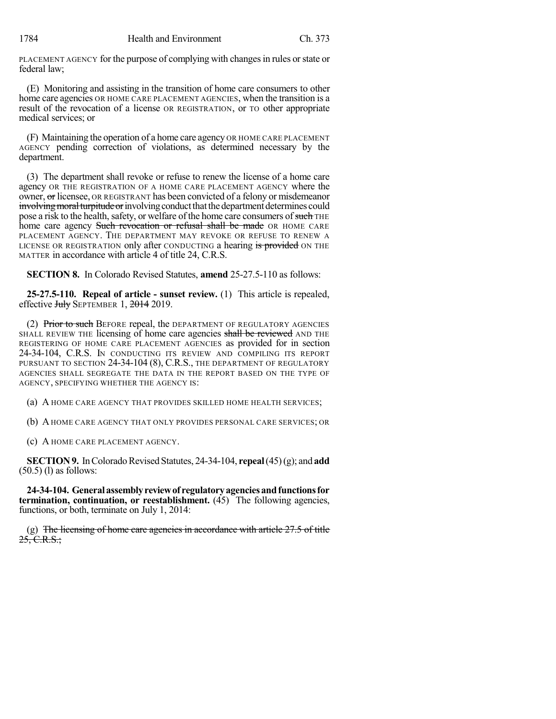PLACEMENT AGENCY for the purpose of complying with changes in rules or state or federal law;

(E) Monitoring and assisting in the transition of home care consumers to other home care agencies OR HOME CARE PLACEMENT AGENCIES, when the transition is a result of the revocation of a license OR REGISTRATION, or TO other appropriate medical services; or

(F) Maintaining the operation of a home care agency OR HOME CARE PLACEMENT AGENCY pending correction of violations, as determined necessary by the department.

(3) The department shall revoke or refuse to renew the license of a home care agency OR THE REGISTRATION OF A HOME CARE PLACEMENT AGENCY where the owner, or licensee, OR REGISTRANT has been convicted of a felony or misdemeanor involving moral turpitude or involving conduct that the department determines could pose a risk to the health, safety, or welfare of the home care consumers of such THE home care agency Such revocation or refusal shall be made OR HOME CARE PLACEMENT AGENCY. THE DEPARTMENT MAY REVOKE OR REFUSE TO RENEW A LICENSE OR REGISTRATION only after CONDUCTING a hearing is provided ON THE MATTER in accordance with article 4 of title 24, C.R.S.

**SECTION 8.** In Colorado Revised Statutes, **amend** 25-27.5-110 as follows:

**25-27.5-110. Repeal of article - sunset review.** (1) This article is repealed, effective July SEPTEMBER 1, 2014 2019.

(2) Prior to such BEFORE repeal, the DEPARTMENT OF REGULATORY AGENCIES SHALL REVIEW THE licensing of home care agencies shall be reviewed AND THE REGISTERING OF HOME CARE PLACEMENT AGENCIES as provided for in section 24-34-104, C.R.S. IN CONDUCTING ITS REVIEW AND COMPILING ITS REPORT PURSUANT TO SECTION 24-34-104 (8), C.R.S., THE DEPARTMENT OF REGULATORY AGENCIES SHALL SEGREGATE THE DATA IN THE REPORT BASED ON THE TYPE OF AGENCY, SPECIFYING WHETHER THE AGENCY IS:

(a) A HOME CARE AGENCY THAT PROVIDES SKILLED HOME HEALTH SERVICES;

(b) AHOME CARE AGENCY THAT ONLY PROVIDES PERSONAL CARE SERVICES; OR

(c) A HOME CARE PLACEMENT AGENCY.

**SECTION 9.** In Colorado Revised Statutes, 24-34-104, **repeal**(45)(g); and **add** (50.5) (l) as follows:

**24-34-104. Generalassemblyreviewof regulatoryagenciesandfunctionsfor termination, continuation, or reestablishment.** (45) The following agencies, functions, or both, terminate on July 1, 2014:

(g) The licensing of home care agencies in accordance with article  $27.5$  of title  $25, C.R.S.$ ;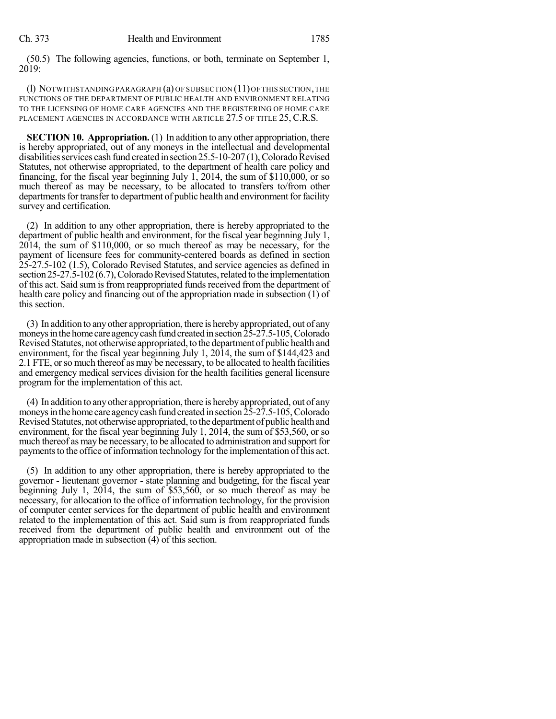(50.5) The following agencies, functions, or both, terminate on September 1, 2019:

(l) NOTWITHSTANDING PARAGRAPH (a) OF SUBSECTION (11)OFTHIS SECTION,THE FUNCTIONS OF THE DEPARTMENT OF PUBLIC HEALTH AND ENVIRONMENT RELATING TO THE LICENSING OF HOME CARE AGENCIES AND THE REGISTERING OF HOME CARE PLACEMENT AGENCIES IN ACCORDANCE WITH ARTICLE 27.5 OF TITLE 25, C.R.S.

**SECTION 10. Appropriation.** (1) In addition to any other appropriation, there is hereby appropriated, out of any moneys in the intellectual and developmental disabilities services cash fund created in section  $25.5$ -10-207 (1), Colorado Revised Statutes, not otherwise appropriated, to the department of health care policy and financing, for the fiscal year beginning July 1, 2014, the sum of \$110,000, or so much thereof as may be necessary, to be allocated to transfers to/from other departments for transfer to department of public health and environment for facility survey and certification.

(2) In addition to any other appropriation, there is hereby appropriated to the department of public health and environment, for the fiscal year beginning July 1, 2014, the sum of \$110,000, or so much thereof as may be necessary, for the payment of licensure fees for community-centered boards as defined in section 25-27.5-102 (1.5), Colorado Revised Statutes, and service agencies as defined in section 25-27.5-102 (6.7), Colorado Revised Statutes, related to the implementation of this act. Said sum is from reappropriated funds received from the department of health care policy and financing out of the appropriation made in subsection (1) of this section.

(3) In addition to anyother appropriation, there is hereby appropriated, out of any moneys in the home care agency cash fund created in section  $25-27.5-105$ , Colorado Revised Statutes, not otherwise appropriated, to the department of public health and environment, for the fiscal year beginning July 1, 2014, the sum of \$144,423 and 2.1 FTE, or so much thereof as may be necessary, to be allocated to health facilities and emergency medical services division for the health facilities general licensure program for the implementation of this act.

(4) In addition to anyother appropriation, there is herebyappropriated, out of any moneys in the home care agency cash fund created in section 25-27.5-105, Colorado Revised Statutes, not otherwise appropriated, to the department of public health and environment, for the fiscal year beginning July 1, 2014, the sum of \$53,560, or so much thereof as may be necessary, to be allocated to administration and support for payments to the office of information technology for the implementation of this act.

(5) In addition to any other appropriation, there is hereby appropriated to the governor - lieutenant governor - state planning and budgeting, for the fiscal year beginning July 1, 2014, the sum of \$53,560, or so much thereof as may be necessary, for allocation to the office of information technology, for the provision of computer center services for the department of public health and environment related to the implementation of this act. Said sum is from reappropriated funds received from the department of public health and environment out of the appropriation made in subsection (4) of this section.